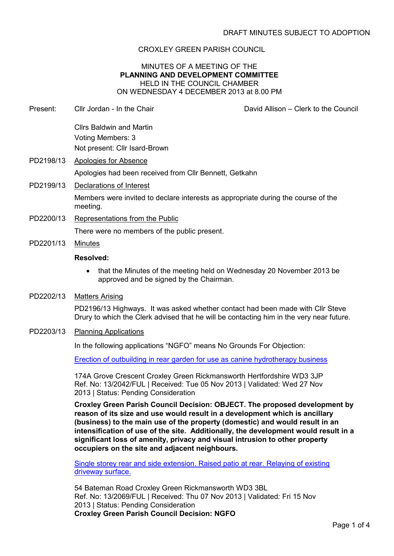# CROXLEY GREEN PARISH COUNCIL

## MINUTES OF A MEETING OF THE **PLANNING AND DEVELOPMENT COMMITTEE** HELD IN THE COUNCIL CHAMBER ON WEDNESDAY 4 DECEMBER 2013 at 8.00 PM

Present: Cllr Jordan - In the Chair David Allison – Clerk to the Council Cllrs Baldwin and Martin Voting Members: 3 Not present: Cllr Isard-Brown PD2198/13 Apologies for Absence Apologies had been received from Cllr Bennett, Getkahn PD2199/13 Declarations of Interest Members were invited to declare interests as appropriate during the course of the meeting. PD2200/13 Representations from the Public

There were no members of the public present.

PD2201/13 Minutes

### **Resolved:**

- that the Minutes of the meeting held on Wednesday 20 November 2013 be approved and be signed by the Chairman.
- PD2202/13 Matters Arising

PD2196/13 Highways. It was asked whether contact had been made with Cllr Steve Drury to which the Clerk advised that he will be contacting him in the very near future.

## PD2203/13 Planning Applications

In the following applications "NGFO" means No Grounds For Objection:

Erection of outbuilding in rear garden for use as canine hydrotherapy business

174A Grove Crescent Croxley Green Rickmansworth Hertfordshire WD3 3JP Ref. No: 13/2042/FUL | Received: Tue 05 Nov 2013 | Validated: Wed 27 Nov 2013 | Status: Pending Consideration

**Croxley Green Parish Council Decision: OBJECT. The proposed development by reason of its size and use would result in a development which is ancillary (business) to the main use of the property (domestic) and would result in an intensification of use of the site. Additionally, the development would result in a significant loss of amenity, privacy and visual intrusion to other property occupiers on the site and adjacent neighbours.**

Single storey rear and side extension. Raised patio at rear. Relaying of existing driveway surface.

54 Bateman Road Croxley Green Rickmansworth WD3 3BL Ref. No: 13/2069/FUL | Received: Thu 07 Nov 2013 | Validated: Fri 15 Nov 2013 | Status: Pending Consideration **Croxley Green Parish Council Decision: NGFO**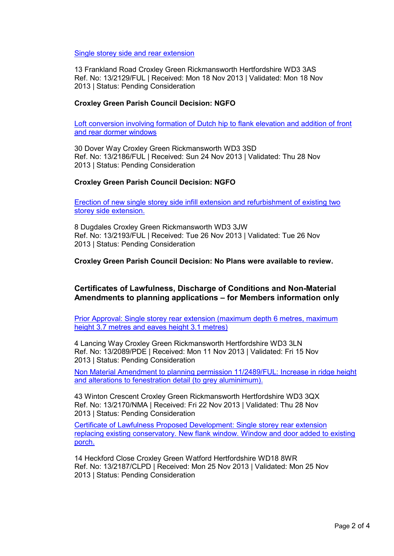Single storey side and rear extension

13 Frankland Road Croxley Green Rickmansworth Hertfordshire WD3 3AS Ref. No: 13/2129/FUL | Received: Mon 18 Nov 2013 | Validated: Mon 18 Nov 2013 | Status: Pending Consideration

### **Croxley Green Parish Council Decision: NGFO**

Loft conversion involving formation of Dutch hip to flank elevation and addition of front and rear dormer windows

30 Dover Way Croxley Green Rickmansworth WD3 3SD Ref. No: 13/2186/FUL | Received: Sun 24 Nov 2013 | Validated: Thu 28 Nov 2013 | Status: Pending Consideration

### **Croxley Green Parish Council Decision: NGFO**

Erection of new single storey side infill extension and refurbishment of existing two storey side extension.

8 Dugdales Croxley Green Rickmansworth WD3 3JW Ref. No: 13/2193/FUL | Received: Tue 26 Nov 2013 | Validated: Tue 26 Nov 2013 | Status: Pending Consideration

**Croxley Green Parish Council Decision: No Plans were available to review.**

## **Certificates of Lawfulness, Discharge of Conditions and Non-Material Amendments to planning applications – for Members information only**

Prior Approval: Single storey rear extension (maximum depth 6 metres, maximum height 3.7 metres and eaves height 3.1 metres)

4 Lancing Way Croxley Green Rickmansworth Hertfordshire WD3 3LN Ref. No: 13/2089/PDE | Received: Mon 11 Nov 2013 | Validated: Fri 15 Nov 2013 | Status: Pending Consideration

Non Material Amendment to planning permission 11/2489/FUL: Increase in ridge height and alterations to fenestration detail (to grey aluminimum).

43 Winton Crescent Croxley Green Rickmansworth Hertfordshire WD3 3QX Ref. No: 13/2170/NMA | Received: Fri 22 Nov 2013 | Validated: Thu 28 Nov 2013 | Status: Pending Consideration

Certificate of Lawfulness Proposed Development: Single storey rear extension replacing existing conservatory. New flank window. Window and door added to existing porch.

14 Heckford Close Croxley Green Watford Hertfordshire WD18 8WR Ref. No: 13/2187/CLPD | Received: Mon 25 Nov 2013 | Validated: Mon 25 Nov 2013 | Status: Pending Consideration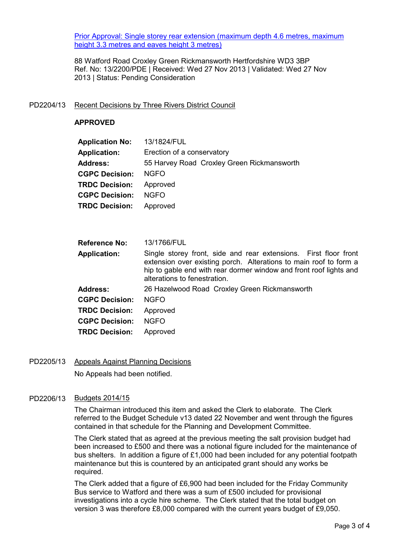Prior Approval: Single storey rear extension (maximum depth 4.6 metres, maximum height 3.3 metres and eaves height 3 metres)

88 Watford Road Croxley Green Rickmansworth Hertfordshire WD3 3BP Ref. No: 13/2200/PDE | Received: Wed 27 Nov 2013 | Validated: Wed 27 Nov 2013 | Status: Pending Consideration

### PD2204/13 Recent Decisions by Three Rivers District Council

### **APPROVED**

| <b>Application No:</b> | 13/1824/FUL                                |
|------------------------|--------------------------------------------|
| <b>Application:</b>    | Erection of a conservatory                 |
| <b>Address:</b>        | 55 Harvey Road Croxley Green Rickmansworth |
| <b>CGPC Decision:</b>  | <b>NGFO</b>                                |
| <b>TRDC Decision:</b>  | Approved                                   |
| <b>CGPC Decision:</b>  | <b>NGFO</b>                                |
| <b>TRDC Decision:</b>  | Approved                                   |
|                        |                                            |

| <b>Reference No:</b>  | 13/1766/FUL                                                                                                                                                                                                                                 |
|-----------------------|---------------------------------------------------------------------------------------------------------------------------------------------------------------------------------------------------------------------------------------------|
| <b>Application:</b>   | Single storey front, side and rear extensions. First floor front<br>extension over existing porch. Alterations to main roof to form a<br>hip to gable end with rear dormer window and front roof lights and<br>alterations to fenestration. |
| <b>Address:</b>       | 26 Hazelwood Road Croxley Green Rickmansworth                                                                                                                                                                                               |
| <b>CGPC Decision:</b> | <b>NGFO</b>                                                                                                                                                                                                                                 |
| <b>TRDC Decision:</b> | Approved                                                                                                                                                                                                                                    |
| <b>CGPC Decision:</b> | <b>NGFO</b>                                                                                                                                                                                                                                 |
| <b>TRDC Decision:</b> | Approved                                                                                                                                                                                                                                    |

PD2205/13 Appeals Against Planning Decisions No Appeals had been notified.

## PD2206/13 Budgets 2014/15

The Chairman introduced this item and asked the Clerk to elaborate. The Clerk referred to the Budget Schedule v13 dated 22 November and went through the figures contained in that schedule for the Planning and Development Committee.

The Clerk stated that as agreed at the previous meeting the salt provision budget had been increased to £500 and there was a notional figure included for the maintenance of bus shelters. In addition a figure of £1,000 had been included for any potential footpath maintenance but this is countered by an anticipated grant should any works be required.

The Clerk added that a figure of £6,900 had been included for the Friday Community Bus service to Watford and there was a sum of £500 included for provisional investigations into a cycle hire scheme. The Clerk stated that the total budget on version 3 was therefore £8,000 compared with the current years budget of £9,050.